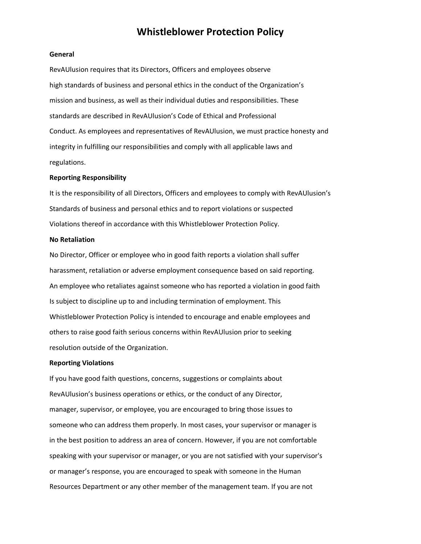## **Whistleblower Protection Policy**

#### **General**

RevAUlusion requires that its Directors, Officers and employees observe high standards of business and personal ethics in the conduct of the Organization's mission and business, as well as their individual duties and responsibilities. These standards are described in RevAUlusion's Code of Ethical and Professional Conduct. As employees and representatives of RevAUlusion, we must practice honesty and integrity in fulfilling our responsibilities and comply with all applicable laws and regulations.

#### **Reporting Responsibility**

It is the responsibility of all Directors, Officers and employees to comply with RevAUlusion's Standards of business and personal ethics and to report violations or suspected Violations thereof in accordance with this Whistleblower Protection Policy.

#### **No Retaliation**

No Director, Officer or employee who in good faith reports a violation shall suffer harassment, retaliation or adverse employment consequence based on said reporting. An employee who retaliates against someone who has reported a violation in good faith Is subject to discipline up to and including termination of employment. This Whistleblower Protection Policy is intended to encourage and enable employees and others to raise good faith serious concerns within RevAUlusion prior to seeking resolution outside of the Organization.

#### **Reporting Violations**

If you have good faith questions, concerns, suggestions or complaints about RevAUlusion's business operations or ethics, or the conduct of any Director, manager, supervisor, or employee, you are encouraged to bring those issues to someone who can address them properly. In most cases, your supervisor or manager is in the best position to address an area of concern. However, if you are not comfortable speaking with your supervisor or manager, or you are not satisfied with your supervisor's or manager's response, you are encouraged to speak with someone in the Human Resources Department or any other member of the management team. If you are not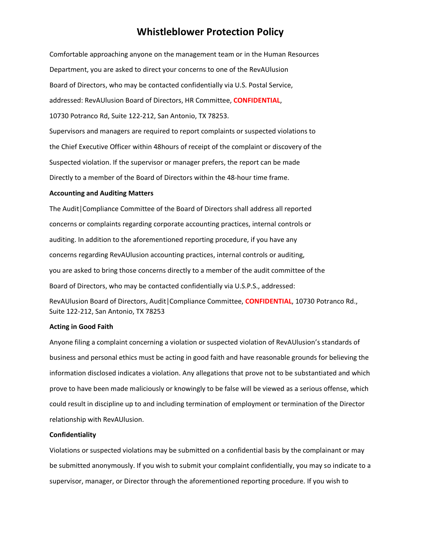## **Whistleblower Protection Policy**

Comfortable approaching anyone on the management team or in the Human Resources Department, you are asked to direct your concerns to one of the RevAUlusion Board of Directors, who may be contacted confidentially via U.S. Postal Service, addressed: RevAUlusion Board of Directors, HR Committee, **CONFIDENTIAL**, 10730 Potranco Rd, Suite 122-212, San Antonio, TX 78253. Supervisors and managers are required to report complaints or suspected violations to the Chief Executive Officer within 48hours of receipt of the complaint or discovery of the Suspected violation. If the supervisor or manager prefers, the report can be made Directly to a member of the Board of Directors within the 48-hour time frame.

#### **Accounting and Auditing Matters**

The Audit|Compliance Committee of the Board of Directors shall address all reported concerns or complaints regarding corporate accounting practices, internal controls or auditing. In addition to the aforementioned reporting procedure, if you have any concerns regarding RevAUlusion accounting practices, internal controls or auditing, you are asked to bring those concerns directly to a member of the audit committee of the Board of Directors, who may be contacted confidentially via U.S.P.S., addressed:

RevAUlusion Board of Directors, Audit|Compliance Committee, **CONFIDENTIAL**, 10730 Potranco Rd., Suite 122-212, San Antonio, TX 78253

#### **Acting in Good Faith**

Anyone filing a complaint concerning a violation or suspected violation of RevAUlusion's standards of business and personal ethics must be acting in good faith and have reasonable grounds for believing the information disclosed indicates a violation. Any allegations that prove not to be substantiated and which prove to have been made maliciously or knowingly to be false will be viewed as a serious offense, which could result in discipline up to and including termination of employment or termination of the Director relationship with RevAUlusion.

#### **Confidentiality**

Violations or suspected violations may be submitted on a confidential basis by the complainant or may be submitted anonymously. If you wish to submit your complaint confidentially, you may so indicate to a supervisor, manager, or Director through the aforementioned reporting procedure. If you wish to